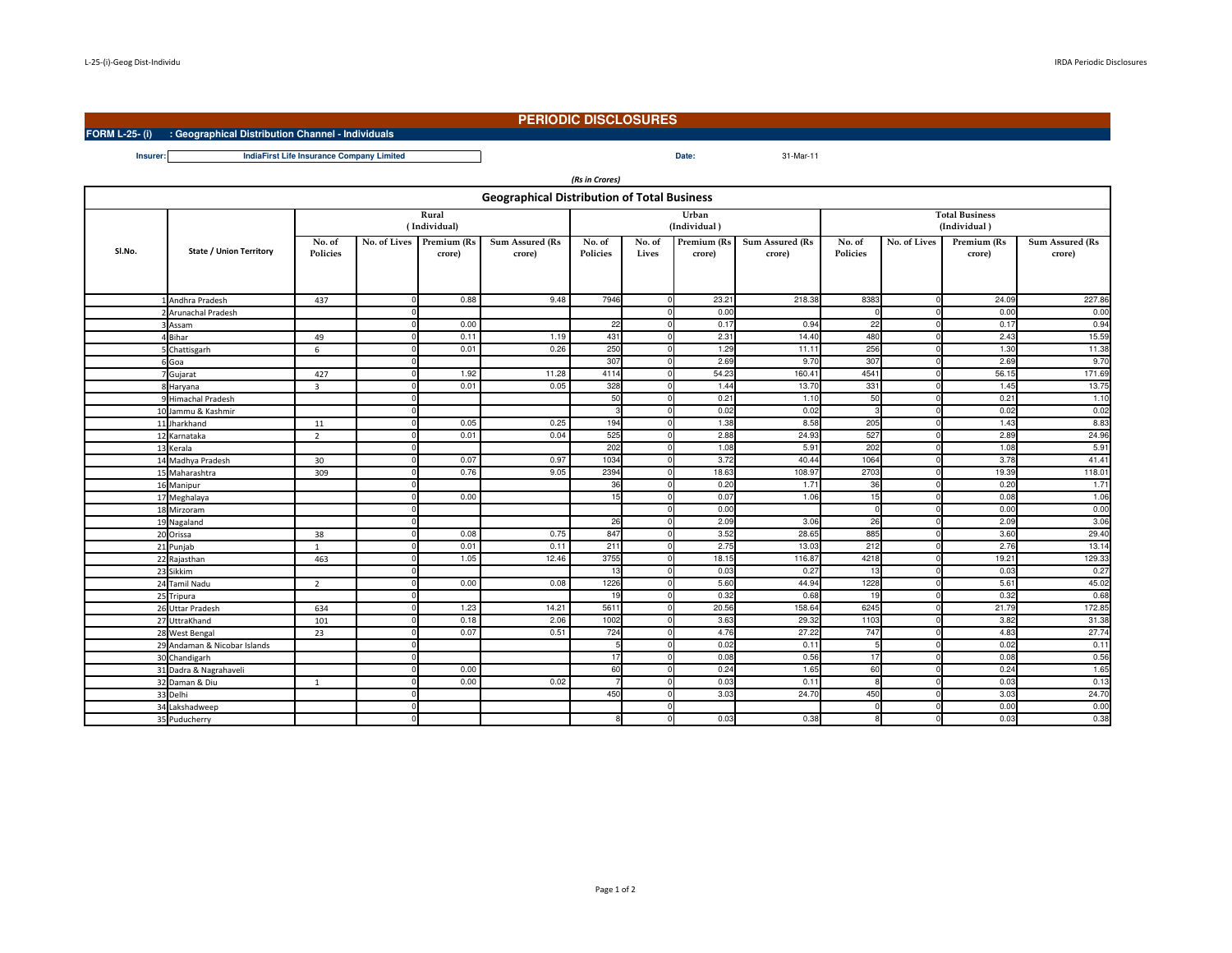**FORM L-25- (i) : Geographical Distribution Channel - Individuals**

## **PERIODIC DISCLOSURES**

31-Mar-11

**Insurer:Date:IndiaFirst Life Insurance Company Limited**

| (Rs in Crores)                                     |                                |                           |              |                       |                           |                           |                 |                       |                                  |                                       |              |                       |                           |
|----------------------------------------------------|--------------------------------|---------------------------|--------------|-----------------------|---------------------------|---------------------------|-----------------|-----------------------|----------------------------------|---------------------------------------|--------------|-----------------------|---------------------------|
| <b>Geographical Distribution of Total Business</b> |                                |                           |              |                       |                           |                           |                 |                       |                                  |                                       |              |                       |                           |
|                                                    |                                | Rural<br>(Individual)     |              |                       |                           |                           |                 | Urban<br>(Individual) |                                  | <b>Total Business</b><br>(Individual) |              |                       |                           |
| SI.No.                                             | <b>State / Union Territory</b> | No. of<br><b>Policies</b> | No. of Lives | Premium (Rs<br>crore) | Sum Assured (Rs<br>crore) | No. of<br><b>Policies</b> | No. of<br>Lives | Premium (Rs<br>crore) | <b>Sum Assured (Rs</b><br>crore) | No. of<br><b>Policies</b>             | No. of Lives | Premium (Rs<br>crore) | Sum Assured (Rs<br>crore) |
|                                                    | 1 Andhra Pradesh               | 437                       |              | 0.88                  | 9.48                      | 7946                      | $\Omega$        | 23.21                 | 218.38                           | 8383                                  |              | 24.09                 | 227.86                    |
|                                                    | 2 Arunachal Pradesh            |                           |              |                       |                           |                           |                 | 0.00                  |                                  |                                       |              | 0.00                  | 0.00                      |
|                                                    | Assam                          |                           |              | 0.00                  |                           | 22                        |                 | 0.17                  | 0.94                             | 22                                    |              | 0.17                  | 0.94                      |
|                                                    | 4 Bihar                        | 49                        |              | 0.11                  | 1.19                      | 431                       | $\Omega$        | 2.31                  | 14.40                            | 480                                   |              | 2.43                  | 15.59                     |
|                                                    | Chattisgarh                    | 6                         |              | 0.01                  | 0.26                      | 250                       | $\Omega$        | 1.29                  | 11.11                            | 256                                   | $\Omega$     | 1.30                  | 11.38                     |
|                                                    | Goa                            |                           |              |                       |                           | 307                       |                 | 2.69                  | 9.70                             | 307                                   |              | 2.69                  | 9.70                      |
|                                                    | 7 Gujarat                      | 427                       |              | 1.92                  | 11.28                     | 4114                      | <sup>0</sup>    | 54.23                 | 160.41                           | 4541                                  |              | 56.15                 | 171.69                    |
|                                                    | 8 Haryana                      | $\overline{3}$            |              | 0.01                  | 0.05                      | 328                       | $\Omega$        | 1.44                  | 13.70                            | 331                                   |              | 1.45                  | 13.75                     |
|                                                    | 9 Himachal Pradesh             |                           |              |                       |                           | 50                        |                 | 0.21                  | 1.10                             | 50                                    |              | 0.21                  | 1.10                      |
|                                                    | 10 Jammu & Kashmir             |                           |              |                       |                           | 3                         | U               | 0.02                  | 0.02                             | з                                     |              | 0.02                  | 0.02                      |
|                                                    | 11 Jharkhand                   | 11                        |              | 0.05                  | 0.25                      | 194                       | $\Omega$        | 1.38                  | 8.55                             | 205                                   |              | 1.43                  | 8.83                      |
|                                                    | 12 Karnataka                   | $\overline{2}$            |              | 0.01                  | 0.04                      | 525                       |                 | 2.88                  | 24.93                            | 527                                   |              | 2.89                  | 24.96                     |
|                                                    | 13 Kerala                      |                           |              |                       |                           | 202                       | $\Omega$        | 1.08                  | 5.91                             | 202                                   |              | 1.08                  | 5.91                      |
|                                                    | 14 Madhya Pradesh              | 30                        |              | 0.07                  | 0.97                      | 1034                      | $\Omega$        | 3.72                  | 40.44                            | 1064                                  |              | 3.78                  | 41.41                     |
|                                                    | 15 Maharashtra                 | 309                       |              | 0.76                  | 9.05                      | 2394                      |                 | 18.63                 | 108.9                            | 2703                                  |              | 19.39                 | 118.01                    |
|                                                    | 16 Manipur                     |                           |              |                       |                           | 36                        | $\Omega$        | 0.20                  | 1.71                             | 36                                    |              | 0.20                  | 1.71                      |
|                                                    | 17 Meghalaya                   |                           |              | 0.00                  |                           | 15                        | $\Omega$        | 0.07                  | 1.06                             | 15                                    |              | 0.08                  | 1.06                      |
|                                                    | 18 Mirzoram                    |                           |              |                       |                           |                           |                 | 0.00                  |                                  |                                       |              | 0.00                  | 0.00                      |
|                                                    | 19 Nagaland                    |                           |              |                       |                           | 26                        | $\Omega$        | 2.09                  | 3.06                             | 26                                    |              | 2.09                  | 3.06                      |
|                                                    | 20 Orissa                      | 38                        |              | 0.08                  | 0.75                      | 847                       | $\Omega$        | 3.52                  | 28.65                            | 885                                   |              | 3.60                  | 29.40                     |
|                                                    | 21 Punjab                      | $\mathbf{1}$              |              | 0.01                  | 0.11                      | 211                       |                 | 2.75                  | 13.03                            | 212                                   |              | 2.76                  | 13.14                     |
|                                                    | 22 Rajasthan                   | 463                       |              | 1.05                  | 12.46                     | 3755                      | $\Omega$        | 18.15                 | 116.87                           | 4218                                  |              | 19.21                 | 129.33                    |
|                                                    | 23 Sikkim                      |                           |              |                       |                           | 13                        |                 | 0.03                  | 0.27                             | 13                                    |              | 0.03                  | 0.27                      |
|                                                    | 24 Tamil Nadu                  | $\overline{2}$            |              | 0.00                  | 0.08                      | 1226                      |                 | 5.60                  | 44.94                            | 1228                                  |              | 5.61                  | 45.02                     |
|                                                    | 25 Tripura                     |                           |              |                       |                           | 19                        | $\Omega$        | 0.32                  | 0.68                             | 19                                    |              | 0.32                  | 0.68                      |
|                                                    | 26 Uttar Pradesh               | 634                       |              | 1.23                  | 14.21                     | 5611                      | $\Omega$        | 20.56                 | 158.6                            | 6245                                  |              | 21.79                 | 172.85                    |
|                                                    | 27 UttraKhand                  | 101                       |              | 0.18                  | 2.06                      | 1002                      |                 | 3.63                  | 29.32                            | 1103                                  |              | 3.82                  | 31.38                     |
|                                                    | 28 West Bengal                 | 23                        |              | 0.07                  | 0.51                      | 724                       | $\Omega$        | 4.76                  | 27.22                            | 747                                   |              | 4.83                  | 27.74                     |
|                                                    | 29 Andaman & Nicobar Islands   |                           |              |                       |                           | 5                         | $\Omega$        | 0.02                  | 0.11                             | 5                                     |              | 0.02                  | 0.11                      |
|                                                    | 30 Chandigarh                  |                           |              |                       |                           | 17                        | $\Omega$        | 0.08                  | 0.56                             | 17                                    |              | 0.08                  | 0.56                      |
|                                                    | 31 Dadra & Nagrahaveli         |                           |              | 0.00                  |                           | 60                        | $\Omega$        | 0.24                  | 1.65                             | 60                                    | n            | 0.24                  | 1.65                      |
|                                                    | 32 Daman & Diu                 | $\overline{1}$            |              | 0.00                  | 0.02                      |                           | $\Omega$        | 0.03                  | 0.11                             | $\mathbf{R}$                          |              | 0.03                  | 0.13                      |
|                                                    | 33 Delhi                       |                           |              |                       |                           | 450                       |                 | 3.03                  | 24.7(                            | 450                                   |              | 3.03                  | 24.70                     |
|                                                    | 34 Lakshadweep                 |                           |              |                       |                           |                           | $\Omega$        |                       |                                  | $\Omega$                              |              | 0.00                  | 0.00                      |
|                                                    | 35 Puducherry                  |                           |              |                       |                           | 8                         | n               | 0.03                  | 0.38                             |                                       |              | 0.03                  | 0.38                      |